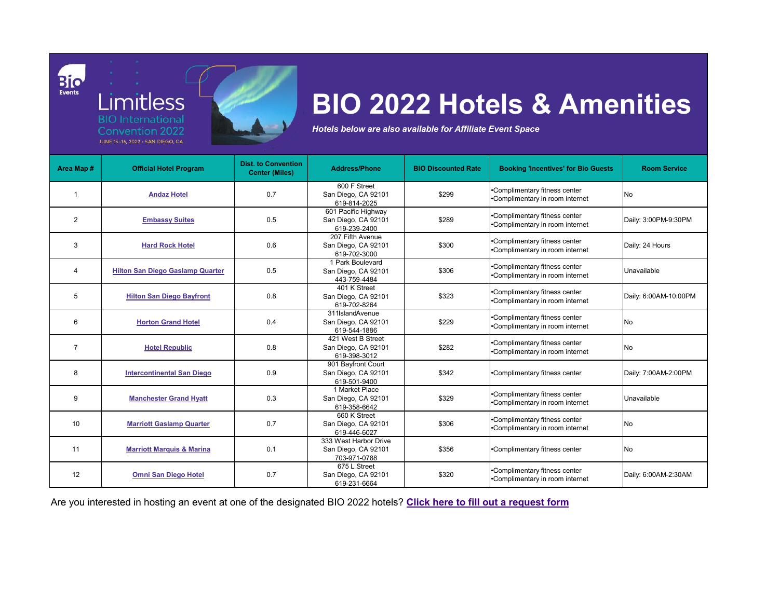|  | <b>Limitless</b>                                           |  |  |
|--|------------------------------------------------------------|--|--|
|  | <b>BIO</b> International                                   |  |  |
|  | <b>Convention 2022</b><br>JUNE 13-16, 2022 - SAN DIEGO, CA |  |  |

Bio

| Area Map #     | <b>Official Hotel Program</b>           | <b>Dist. to Convention</b><br><b>Center (Miles)</b> | <b>Address/Phone</b>                                         | <b>BIO Discounted Rate</b> | <b>Booking 'Incentives' for Bio Guests</b>                       | <b>Room Service</b>   |
|----------------|-----------------------------------------|-----------------------------------------------------|--------------------------------------------------------------|----------------------------|------------------------------------------------------------------|-----------------------|
|                | <b>Andaz Hotel</b>                      | 0.7                                                 | 600 F Street<br>San Diego, CA 92101<br>619-814-2025          | \$299                      | •Complimentary fitness center<br>•Complimentary in room internet | No                    |
| $\overline{2}$ | <b>Embassy Suites</b>                   | 0.5                                                 | 601 Pacific Highway<br>San Diego, CA 92101<br>619-239-2400   | \$289                      | •Complimentary fitness center<br>•Complimentary in room internet | Daily: 3:00PM-9:30PM  |
| 3              | <b>Hard Rock Hotel</b>                  | 0.6                                                 | 207 Fifth Avenue<br>San Diego, CA 92101<br>619-702-3000      | \$300                      | •Complimentary fitness center<br>•Complimentary in room internet | Daily: 24 Hours       |
|                | <b>Hilton San Diego Gaslamp Quarter</b> | 0.5                                                 | 1 Park Boulevard<br>San Diego, CA 92101<br>443-759-4484      | \$306                      | •Complimentary fitness center<br>•Complimentary in room internet | Unavailable           |
| $\overline{5}$ | <b>Hilton San Diego Bayfront</b>        | 0.8                                                 | 401 K Street<br>San Diego, CA 92101<br>619-702-8264          | \$323                      | •Complimentary fitness center<br>•Complimentary in room internet | Daily: 6:00AM-10:00PM |
| 6              | <b>Horton Grand Hotel</b>               | 0.4                                                 | 311IslandAvenue<br>San Diego, CA 92101<br>619-544-1886       | \$229                      | •Complimentary fitness center<br>•Complimentary in room internet | No                    |
|                | <b>Hotel Republic</b>                   | 0.8                                                 | 421 West B Street<br>San Diego, CA 92101<br>619-398-3012     | \$282                      | •Complimentary fitness center<br>•Complimentary in room internet | No                    |
| 8              | <b>Intercontinental San Diego</b>       | 0.9                                                 | 901 Bayfront Court<br>San Diego, CA 92101<br>619-501-9400    | \$342                      | •Complimentary fitness center                                    | Daily: 7:00AM-2:00PM  |
| 9              | <b>Manchester Grand Hyatt</b>           | 0.3                                                 | 1 Market Place<br>San Diego, CA 92101<br>619-358-6642        | \$329                      | •Complimentary fitness center<br>•Complimentary in room internet | Unavailable           |
| 10             | <b>Marriott Gaslamp Quarter</b>         | 0.7                                                 | 660 K Street<br>San Diego, CA 92101<br>619-446-6027          | \$306                      | •Complimentary fitness center<br>•Complimentary in room internet | No                    |
| 11             | <b>Marriott Marquis &amp; Marina</b>    | 0.1                                                 | 333 West Harbor Drive<br>San Diego, CA 92101<br>703-971-0788 | \$356                      | •Complimentary fitness center                                    | No                    |
| 12             | <b>Omni San Diego Hotel</b>             | 0.7                                                 | 675 L Street<br>San Diego, CA 92101<br>619-231-6664          | \$320                      | •Complimentary fitness center<br>•Complimentary in room internet | Daily: 6:00AM-2:30AM  |

Are you interested in hosting an event at one of the designated BIO 2022 hotels? **[Click here to fill out a request form](https://app.smartsheet.com/b/form/be93a434889e4225b77410c318ec1984)**

## **BIO 2022 Hotels & Amenities**

*Hotels below are also available for Affiliate Event Space*